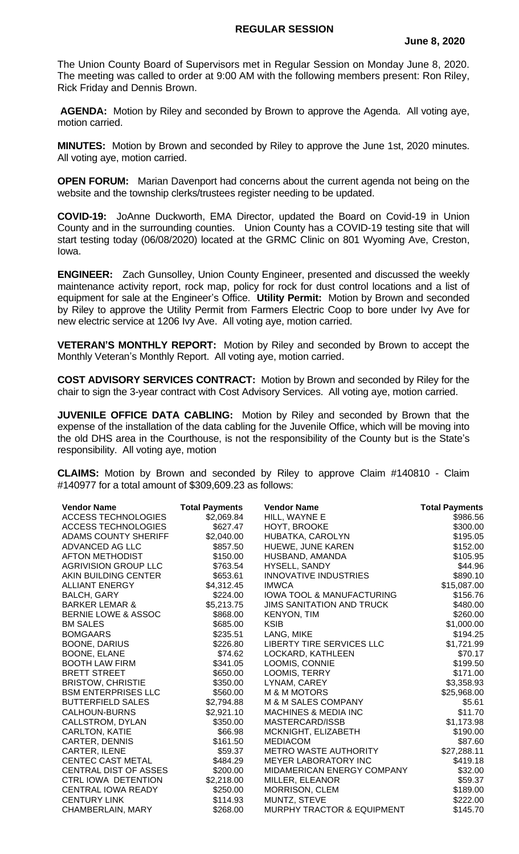## **REGULAR SESSION**

The Union County Board of Supervisors met in Regular Session on Monday June 8, 2020. The meeting was called to order at 9:00 AM with the following members present: Ron Riley, Rick Friday and Dennis Brown.

**AGENDA:** Motion by Riley and seconded by Brown to approve the Agenda. All voting aye, motion carried.

**MINUTES:** Motion by Brown and seconded by Riley to approve the June 1st, 2020 minutes. All voting aye, motion carried.

**OPEN FORUM:** Marian Davenport had concerns about the current agenda not being on the website and the township clerks/trustees register needing to be updated.

**COVID-19:** JoAnne Duckworth, EMA Director, updated the Board on Covid-19 in Union County and in the surrounding counties. Union County has a COVID-19 testing site that will start testing today (06/08/2020) located at the GRMC Clinic on 801 Wyoming Ave, Creston, Iowa.

**ENGINEER:** Zach Gunsolley, Union County Engineer, presented and discussed the weekly maintenance activity report, rock map, policy for rock for dust control locations and a list of equipment for sale at the Engineer's Office. **Utility Permit:** Motion by Brown and seconded by Riley to approve the Utility Permit from Farmers Electric Coop to bore under Ivy Ave for new electric service at 1206 Ivy Ave. All voting aye, motion carried.

**VETERAN'S MONTHLY REPORT:** Motion by Riley and seconded by Brown to accept the Monthly Veteran's Monthly Report. All voting aye, motion carried.

**COST ADVISORY SERVICES CONTRACT:** Motion by Brown and seconded by Riley for the chair to sign the 3-year contract with Cost Advisory Services. All voting aye, motion carried.

**JUVENILE OFFICE DATA CABLING:** Motion by Riley and seconded by Brown that the expense of the installation of the data cabling for the Juvenile Office, which will be moving into the old DHS area in the Courthouse, is not the responsibility of the County but is the State's responsibility. All voting aye, motion

**CLAIMS:** Motion by Brown and seconded by Riley to approve Claim #140810 - Claim #140977 for a total amount of \$309,609.23 as follows:

| <b>Vendor Name</b>             | <b>Total Payments</b> | <b>Vendor Name</b>                    | <b>Total Payments</b> |
|--------------------------------|-----------------------|---------------------------------------|-----------------------|
| <b>ACCESS TECHNOLOGIES</b>     | \$2,069.84            | HILL, WAYNE E                         | \$986.56              |
| <b>ACCESS TECHNOLOGIES</b>     | \$627.47              | HOYT, BROOKE                          | \$300.00              |
| <b>ADAMS COUNTY SHERIFF</b>    | \$2,040.00            | HUBATKA, CAROLYN                      | \$195.05              |
| ADVANCED AG LLC                | \$857.50              | HUEWE, JUNE KAREN                     | \$152.00              |
| <b>AFTON METHODIST</b>         | \$150.00              | HUSBAND, AMANDA                       | \$105.95              |
| <b>AGRIVISION GROUP LLC</b>    | \$763.54              | HYSELL, SANDY                         | \$44.96               |
| AKIN BUILDING CENTER           | \$653.61              | <b>INNOVATIVE INDUSTRIES</b>          | \$890.10              |
| <b>ALLIANT ENERGY</b>          | \$4,312.45            | <b>IMWCA</b>                          | \$15,087.00           |
| <b>BALCH, GARY</b>             | \$224.00              | <b>IOWA TOOL &amp; MANUFACTURING</b>  | \$156.76              |
| <b>BARKER LEMAR &amp;</b>      | \$5,213.75            | <b>JIMS SANITATION AND TRUCK</b>      | \$480.00              |
| <b>BERNIE LOWE &amp; ASSOC</b> | \$868.00              | KENYON, TIM                           | \$260.00              |
| <b>BM SALES</b>                | \$685.00              | <b>KSIB</b>                           | \$1,000.00            |
| <b>BOMGAARS</b>                | \$235.51              | LANG, MIKE                            | \$194.25              |
| <b>BOONE, DARIUS</b>           | \$226.80              | LIBERTY TIRE SERVICES LLC             | \$1,721.99            |
| <b>BOONE, ELANE</b>            | \$74.62               | LOCKARD, KATHLEEN                     | \$70.17               |
| <b>BOOTH LAW FIRM</b>          | \$341.05              | LOOMIS, CONNIE                        | \$199.50              |
| <b>BRETT STREET</b>            | \$650.00              | LOOMIS, TERRY                         | \$171.00              |
| <b>BRISTOW, CHRISTIE</b>       | \$350.00              | LYNAM, CAREY                          | \$3,358.93            |
| <b>BSM ENTERPRISES LLC</b>     | \$560.00              | <b>M &amp; M MOTORS</b>               | \$25,968.00           |
| <b>BUTTERFIELD SALES</b>       | \$2,794.88            | M & M SALES COMPANY                   | \$5.61                |
| CALHOUN-BURNS                  | \$2,921.10            | <b>MACHINES &amp; MEDIA INC</b>       | \$11.70               |
| <b>CALLSTROM, DYLAN</b>        | \$350.00              | MASTERCARD/ISSB                       | \$1,173.98            |
| <b>CARLTON, KATIE</b>          | \$66.98               | MCKNIGHT, ELIZABETH                   | \$190.00              |
| <b>CARTER, DENNIS</b>          | \$161.50              | <b>MEDIACOM</b>                       | \$87.60               |
| CARTER, ILENE                  | \$59.37               | <b>METRO WASTE AUTHORITY</b>          | \$27,288.11           |
| <b>CENTEC CAST METAL</b>       | \$484.29              | <b>MEYER LABORATORY INC</b>           | \$419.18              |
| <b>CENTRAL DIST OF ASSES</b>   | \$200.00              | <b>MIDAMERICAN ENERGY COMPANY</b>     | \$32.00               |
| <b>CTRL IOWA DETENTION</b>     | \$2,218.00            | MILLER, ELEANOR                       | \$59.37               |
| <b>CENTRAL IOWA READY</b>      | \$250.00              | <b>MORRISON, CLEM</b>                 | \$189.00              |
| <b>CENTURY LINK</b>            | \$114.93              | MUNTZ, STEVE                          | \$222.00              |
| CHAMBERLAIN, MARY              | \$268.00              | <b>MURPHY TRACTOR &amp; EQUIPMENT</b> | \$145.70              |